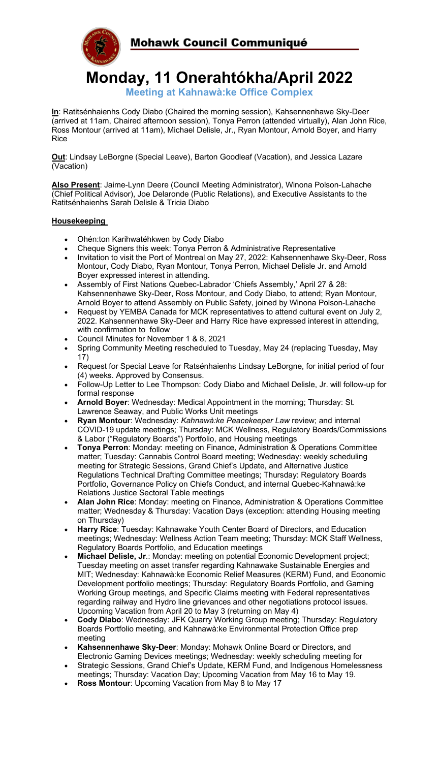

# **Monday, 11 Onerahtókha/April 2022**

**Meeting at Kahnawà:ke Office Complex**

**In**: Ratitsénhaienhs Cody Diabo (Chaired the morning session), Kahsennenhawe Sky-Deer (arrived at 11am, Chaired afternoon session), Tonya Perron (attended virtually), Alan John Rice, Ross Montour (arrived at 11am), Michael Delisle, Jr., Ryan Montour, Arnold Boyer, and Harry Rice

**Out**: Lindsay LeBorgne (Special Leave), Barton Goodleaf (Vacation), and Jessica Lazare (Vacation)

**Also Present**: Jaime-Lynn Deere (Council Meeting Administrator), Winona Polson-Lahache (Chief Political Advisor), Joe Delaronde (Public Relations), and Executive Assistants to the Ratitsénhaienhs Sarah Delisle & Tricia Diabo

## **Housekeeping**

- Ohén:ton Karihwatéhkwen by Cody Diabo
- Cheque Signers this week: Tonya Perron & Administrative Representative
- Invitation to visit the Port of Montreal on May 27, 2022: Kahsennenhawe Sky-Deer, Ross Montour, Cody Diabo, Ryan Montour, Tonya Perron, Michael Delisle Jr. and Arnold Boyer expressed interest in attending.
- Assembly of First Nations Quebec-Labrador 'Chiefs Assembly,' April 27 & 28: Kahsennenhawe Sky-Deer, Ross Montour, and Cody Diabo, to attend; Ryan Montour, Arnold Boyer to attend Assembly on Public Safety, joined by Winona Polson-Lahache
- Request by YEMBA Canada for MCK representatives to attend cultural event on July 2, 2022. Kahsennenhawe Sky-Deer and Harry Rice have expressed interest in attending, with confirmation to follow
- Council Minutes for November 1 & 8, 2021
- Spring Community Meeting rescheduled to Tuesday, May 24 (replacing Tuesday, May 17)
- Request for Special Leave for Ratsénhaienhs Lindsay LeBorgne, for initial period of four (4) weeks. Approved by Consensus.
- Follow-Up Letter to Lee Thompson: Cody Diabo and Michael Delisle, Jr. will follow-up for formal response
- **Arnold Boyer**: Wednesday: Medical Appointment in the morning; Thursday: St. Lawrence Seaway, and Public Works Unit meetings
- **Ryan Montour**: Wednesday: *Kahnawà:ke Peacekeeper Law* review; and internal COVID-19 update meetings; Thursday: MCK Wellness, Regulatory Boards/Commissions & Labor ("Regulatory Boards") Portfolio, and Housing meetings
- **Tonya Perron**: Monday: meeting on Finance, Administration & Operations Committee matter; Tuesday: Cannabis Control Board meeting; Wednesday: weekly scheduling meeting for Strategic Sessions, Grand Chief's Update, and Alternative Justice Regulations Technical Drafting Committee meetings; Thursday: Regulatory Boards Portfolio, Governance Policy on Chiefs Conduct, and internal Quebec-Kahnawà:ke Relations Justice Sectoral Table meetings
- **Alan John Rice**: Monday: meeting on Finance, Administration & Operations Committee matter; Wednesday & Thursday: Vacation Days (exception: attending Housing meeting on Thursday)
- **Harry Rice**: Tuesday: Kahnawake Youth Center Board of Directors, and Education meetings; Wednesday: Wellness Action Team meeting; Thursday: MCK Staff Wellness, Regulatory Boards Portfolio, and Education meetings
- **Michael Delisle, Jr**.: Monday: meeting on potential Economic Development project; Tuesday meeting on asset transfer regarding Kahnawake Sustainable Energies and MIT; Wednesday: Kahnawà:ke Economic Relief Measures (KERM) Fund, and Economic Development portfolio meetings; Thursday: Regulatory Boards Portfolio, and Gaming Working Group meetings, and Specific Claims meeting with Federal representatives regarding railway and Hydro line grievances and other negotiations protocol issues. Upcoming Vacation from April 20 to May 3 (returning on May 4)
- **Cody Diabo**: Wednesday: JFK Quarry Working Group meeting; Thursday: Regulatory Boards Portfolio meeting, and Kahnawà:ke Environmental Protection Office prep meeting
- **Kahsennenhawe Sky-Deer**: Monday: Mohawk Online Board or Directors, and Electronic Gaming Devices meetings; Wednesday: weekly scheduling meeting for
- Strategic Sessions, Grand Chief's Update, KERM Fund, and Indigenous Homelessness meetings; Thursday: Vacation Day; Upcoming Vacation from May 16 to May 19.
- **Ross Montour: Upcoming Vacation from May 8 to May 17**